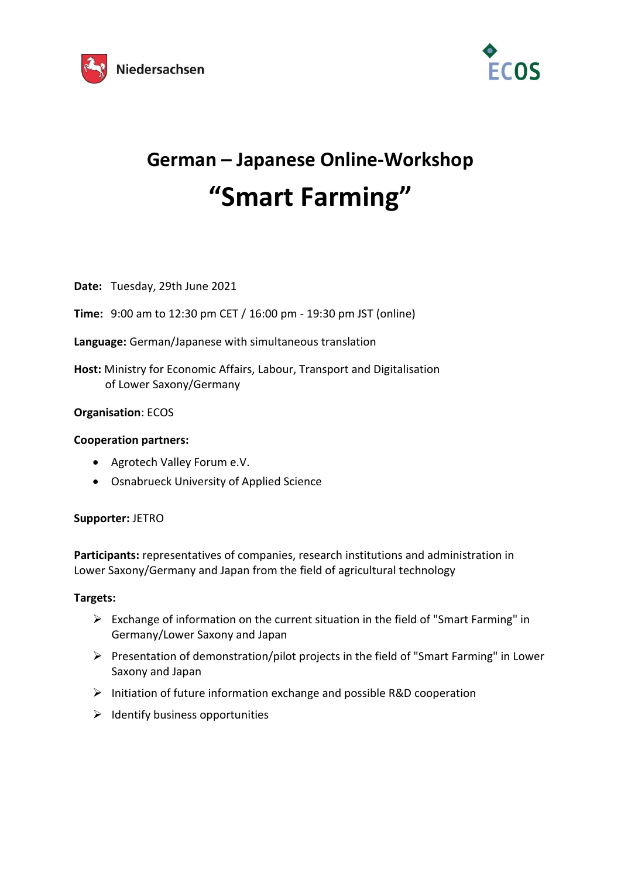



# **German – Japanese Online-Workshop "Smart Farming"**

**Date:** Tuesday, 29th June 2021

**Time:** 9:00 am to 12:30 pm CET / 16:00 pm - 19:30 pm JST (online)

**Language:** German/Japanese with simultaneous translation

**Host:** Ministry for Economic Affairs, Labour, Transport and Digitalisation of Lower Saxony/Germany

#### **Organisation**: ECOS

#### **Cooperation partners:**

- Agrotech Valley Forum e.V.
- Osnabrueck University of Applied Science

#### **Supporter:** JETRO

**Participants:** representatives of companies, research institutions and administration in Lower Saxony/Germany and Japan from the field of agricultural technology

#### **Targets:**

- ➢ Exchange of information on the current situation in the field of "Smart Farming" in Germany/Lower Saxony and Japan
- ➢ Presentation of demonstration/pilot projects in the field of "Smart Farming" in Lower Saxony and Japan
- ➢ Initiation of future information exchange and possible R&D cooperation
- $\triangleright$  Identify business opportunities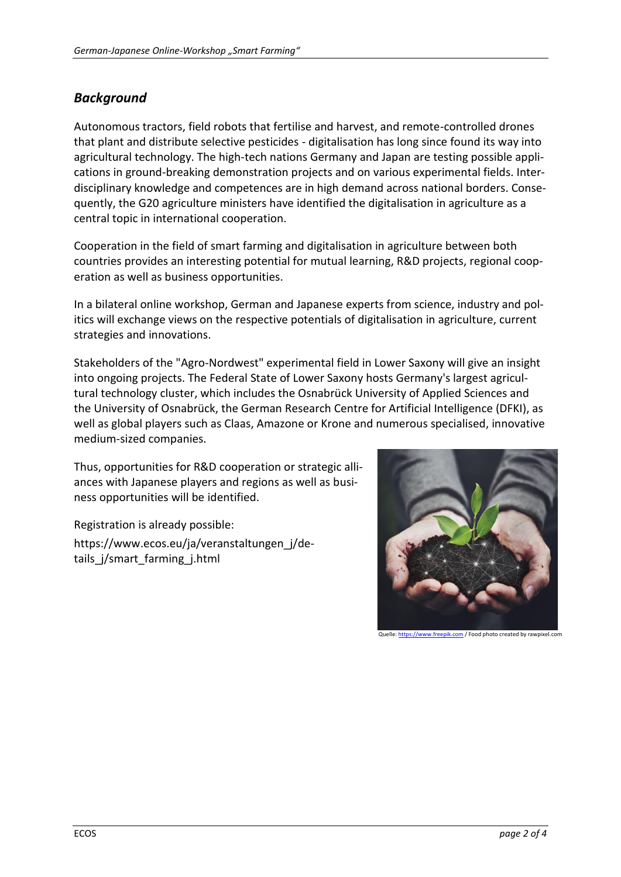### *Background*

Autonomous tractors, field robots that fertilise and harvest, and remote-controlled drones that plant and distribute selective pesticides - digitalisation has long since found its way into agricultural technology. The high-tech nations Germany and Japan are testing possible applications in ground-breaking demonstration projects and on various experimental fields. Interdisciplinary knowledge and competences are in high demand across national borders. Consequently, the G20 agriculture ministers have identified the digitalisation in agriculture as a central topic in international cooperation.

Cooperation in the field of smart farming and digitalisation in agriculture between both countries provides an interesting potential for mutual learning, R&D projects, regional cooperation as well as business opportunities.

In a bilateral online workshop, German and Japanese experts from science, industry and politics will exchange views on the respective potentials of digitalisation in agriculture, current strategies and innovations.

Stakeholders of the "Agro-Nordwest" experimental field in Lower Saxony will give an insight into ongoing projects. The Federal State of Lower Saxony hosts Germany's largest agricultural technology cluster, which includes the Osnabrück University of Applied Sciences and the University of Osnabrück, the German Research Centre for Artificial Intelligence (DFKI), as well as global players such as Claas, Amazone or Krone and numerous specialised, innovative medium-sized companies.

Thus, opportunities for R&D cooperation or strategic alliances with Japanese players and regions as well as business opportunities will be identified.

Registration is already possible: https://www.ecos.eu/ja/veranstaltungen\_j/details j/smart farming j.html

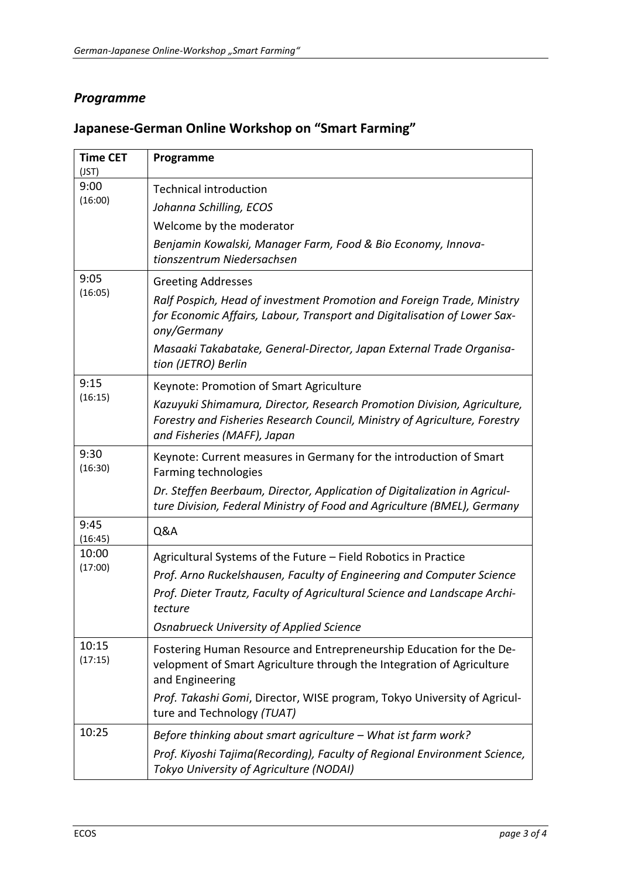## *Programme*

| <b>Time CET</b><br>(JST) | Programme                                                                                                                                                                                                                                                                                     |
|--------------------------|-----------------------------------------------------------------------------------------------------------------------------------------------------------------------------------------------------------------------------------------------------------------------------------------------|
| 9:00<br>(16:00)          | <b>Technical introduction</b><br>Johanna Schilling, ECOS<br>Welcome by the moderator<br>Benjamin Kowalski, Manager Farm, Food & Bio Economy, Innova-<br>tionszentrum Niedersachsen                                                                                                            |
| 9:05<br>(16:05)          | <b>Greeting Addresses</b><br>Ralf Pospich, Head of investment Promotion and Foreign Trade, Ministry<br>for Economic Affairs, Labour, Transport and Digitalisation of Lower Sax-<br>ony/Germany<br>Masaaki Takabatake, General-Director, Japan External Trade Organisa-<br>tion (JETRO) Berlin |
| 9:15<br>(16:15)          | Keynote: Promotion of Smart Agriculture<br>Kazuyuki Shimamura, Director, Research Promotion Division, Agriculture,<br>Forestry and Fisheries Research Council, Ministry of Agriculture, Forestry<br>and Fisheries (MAFF), Japan                                                               |
| 9:30<br>(16:30)          | Keynote: Current measures in Germany for the introduction of Smart<br>Farming technologies<br>Dr. Steffen Beerbaum, Director, Application of Digitalization in Agricul-<br>ture Division, Federal Ministry of Food and Agriculture (BMEL), Germany                                            |
| 9:45<br>(16:45)          | Q&A                                                                                                                                                                                                                                                                                           |
| 10:00<br>(17:00)         | Agricultural Systems of the Future - Field Robotics in Practice<br>Prof. Arno Ruckelshausen, Faculty of Engineering and Computer Science<br>Prof. Dieter Trautz, Faculty of Agricultural Science and Landscape Archi-<br>tecture<br><b>Osnabrueck University of Applied Science</b>           |
| 10:15<br>(17:15)         | Fostering Human Resource and Entrepreneurship Education for the De-<br>velopment of Smart Agriculture through the Integration of Agriculture<br>and Engineering<br>Prof. Takashi Gomi, Director, WISE program, Tokyo University of Agricul-<br>ture and Technology (TUAT)                     |
| 10:25                    | Before thinking about smart agriculture - What ist farm work?<br>Prof. Kiyoshi Tajima(Recording), Faculty of Regional Environment Science,<br>Tokyo University of Agriculture (NODAI)                                                                                                         |

# **Japanese-German Online Workshop on "Smart Farming"**